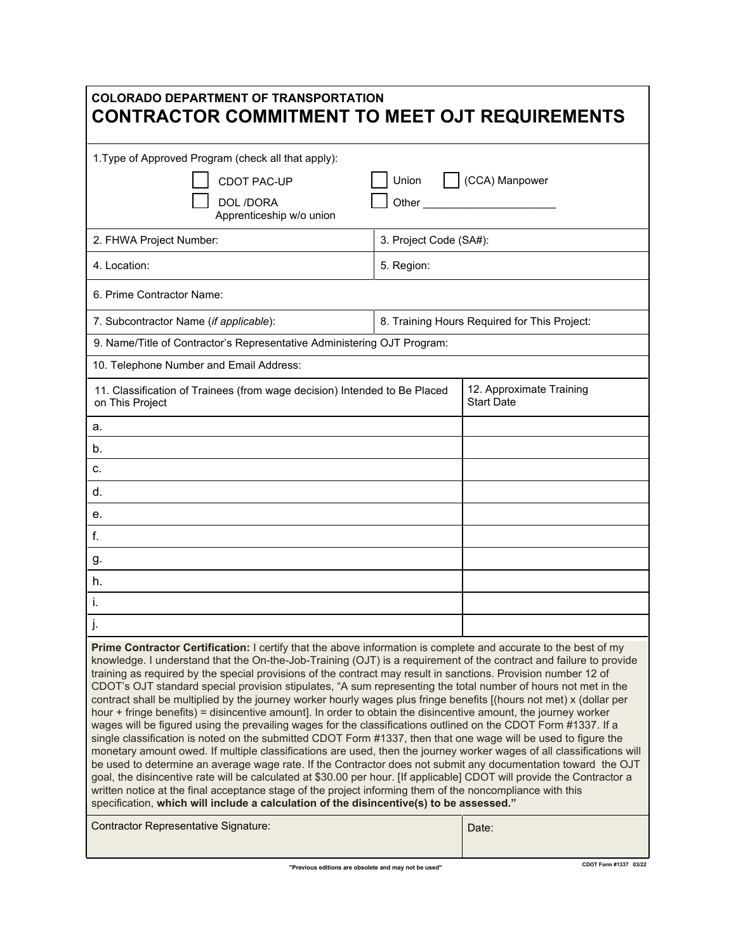| <b>COLORADO DEPARTMENT OF TRANSPORTATION</b><br><b>CONTRACTOR COMMITMENT TO MEET OJT REQUIREMENTS</b>                                                                                                                                                                                                                                                                                                                                                                                                                                                                                                                                                                                                                                                                                                                                                                                                                                                                                                                                                                                                                                                                                                                                                                                                                                                                                                                                                                                                                              |                        |                                               |
|------------------------------------------------------------------------------------------------------------------------------------------------------------------------------------------------------------------------------------------------------------------------------------------------------------------------------------------------------------------------------------------------------------------------------------------------------------------------------------------------------------------------------------------------------------------------------------------------------------------------------------------------------------------------------------------------------------------------------------------------------------------------------------------------------------------------------------------------------------------------------------------------------------------------------------------------------------------------------------------------------------------------------------------------------------------------------------------------------------------------------------------------------------------------------------------------------------------------------------------------------------------------------------------------------------------------------------------------------------------------------------------------------------------------------------------------------------------------------------------------------------------------------------|------------------------|-----------------------------------------------|
| 1. Type of Approved Program (check all that apply):                                                                                                                                                                                                                                                                                                                                                                                                                                                                                                                                                                                                                                                                                                                                                                                                                                                                                                                                                                                                                                                                                                                                                                                                                                                                                                                                                                                                                                                                                |                        |                                               |
| CDOT PAC-UP                                                                                                                                                                                                                                                                                                                                                                                                                                                                                                                                                                                                                                                                                                                                                                                                                                                                                                                                                                                                                                                                                                                                                                                                                                                                                                                                                                                                                                                                                                                        | CCA) Manpower<br>Union |                                               |
| DOL /DORA<br>Apprenticeship w/o union                                                                                                                                                                                                                                                                                                                                                                                                                                                                                                                                                                                                                                                                                                                                                                                                                                                                                                                                                                                                                                                                                                                                                                                                                                                                                                                                                                                                                                                                                              |                        |                                               |
| 2. FHWA Project Number:                                                                                                                                                                                                                                                                                                                                                                                                                                                                                                                                                                                                                                                                                                                                                                                                                                                                                                                                                                                                                                                                                                                                                                                                                                                                                                                                                                                                                                                                                                            | 3. Project Code (SA#): |                                               |
| 4. Location:                                                                                                                                                                                                                                                                                                                                                                                                                                                                                                                                                                                                                                                                                                                                                                                                                                                                                                                                                                                                                                                                                                                                                                                                                                                                                                                                                                                                                                                                                                                       | 5. Region:             |                                               |
| 6. Prime Contractor Name:                                                                                                                                                                                                                                                                                                                                                                                                                                                                                                                                                                                                                                                                                                                                                                                                                                                                                                                                                                                                                                                                                                                                                                                                                                                                                                                                                                                                                                                                                                          |                        |                                               |
| 7. Subcontractor Name (if applicable):                                                                                                                                                                                                                                                                                                                                                                                                                                                                                                                                                                                                                                                                                                                                                                                                                                                                                                                                                                                                                                                                                                                                                                                                                                                                                                                                                                                                                                                                                             |                        | 8. Training Hours Required for This Project:  |
| 9. Name/Title of Contractor's Representative Administering OJT Program:                                                                                                                                                                                                                                                                                                                                                                                                                                                                                                                                                                                                                                                                                                                                                                                                                                                                                                                                                                                                                                                                                                                                                                                                                                                                                                                                                                                                                                                            |                        |                                               |
| 10. Telephone Number and Email Address:                                                                                                                                                                                                                                                                                                                                                                                                                                                                                                                                                                                                                                                                                                                                                                                                                                                                                                                                                                                                                                                                                                                                                                                                                                                                                                                                                                                                                                                                                            |                        |                                               |
| 11. Classification of Trainees (from wage decision) Intended to Be Placed<br>on This Project                                                                                                                                                                                                                                                                                                                                                                                                                                                                                                                                                                                                                                                                                                                                                                                                                                                                                                                                                                                                                                                                                                                                                                                                                                                                                                                                                                                                                                       |                        | 12. Approximate Training<br><b>Start Date</b> |
| a.                                                                                                                                                                                                                                                                                                                                                                                                                                                                                                                                                                                                                                                                                                                                                                                                                                                                                                                                                                                                                                                                                                                                                                                                                                                                                                                                                                                                                                                                                                                                 |                        |                                               |
| b.                                                                                                                                                                                                                                                                                                                                                                                                                                                                                                                                                                                                                                                                                                                                                                                                                                                                                                                                                                                                                                                                                                                                                                                                                                                                                                                                                                                                                                                                                                                                 |                        |                                               |
| c.                                                                                                                                                                                                                                                                                                                                                                                                                                                                                                                                                                                                                                                                                                                                                                                                                                                                                                                                                                                                                                                                                                                                                                                                                                                                                                                                                                                                                                                                                                                                 |                        |                                               |
| d.                                                                                                                                                                                                                                                                                                                                                                                                                                                                                                                                                                                                                                                                                                                                                                                                                                                                                                                                                                                                                                                                                                                                                                                                                                                                                                                                                                                                                                                                                                                                 |                        |                                               |
| е.                                                                                                                                                                                                                                                                                                                                                                                                                                                                                                                                                                                                                                                                                                                                                                                                                                                                                                                                                                                                                                                                                                                                                                                                                                                                                                                                                                                                                                                                                                                                 |                        |                                               |
| f.                                                                                                                                                                                                                                                                                                                                                                                                                                                                                                                                                                                                                                                                                                                                                                                                                                                                                                                                                                                                                                                                                                                                                                                                                                                                                                                                                                                                                                                                                                                                 |                        |                                               |
| g.                                                                                                                                                                                                                                                                                                                                                                                                                                                                                                                                                                                                                                                                                                                                                                                                                                                                                                                                                                                                                                                                                                                                                                                                                                                                                                                                                                                                                                                                                                                                 |                        |                                               |
| h.                                                                                                                                                                                                                                                                                                                                                                                                                                                                                                                                                                                                                                                                                                                                                                                                                                                                                                                                                                                                                                                                                                                                                                                                                                                                                                                                                                                                                                                                                                                                 |                        |                                               |
| Ι.                                                                                                                                                                                                                                                                                                                                                                                                                                                                                                                                                                                                                                                                                                                                                                                                                                                                                                                                                                                                                                                                                                                                                                                                                                                                                                                                                                                                                                                                                                                                 |                        |                                               |
|                                                                                                                                                                                                                                                                                                                                                                                                                                                                                                                                                                                                                                                                                                                                                                                                                                                                                                                                                                                                                                                                                                                                                                                                                                                                                                                                                                                                                                                                                                                                    |                        |                                               |
| Prime Contractor Certification: I certify that the above information is complete and accurate to the best of my<br>knowledge. I understand that the On-the-Job-Training (OJT) is a requirement of the contract and failure to provide<br>training as required by the special provisions of the contract may result in sanctions. Provision number 12 of<br>CDOT's OJT standard special provision stipulates, "A sum representing the total number of hours not met in the<br>contract shall be multiplied by the journey worker hourly wages plus fringe benefits [(hours not met) x (dollar per<br>hour + fringe benefits) = disincentive amount]. In order to obtain the disincentive amount, the journey worker<br>wages will be figured using the prevailing wages for the classifications outlined on the CDOT Form #1337. If a<br>single classification is noted on the submitted CDOT Form #1337, then that one wage will be used to figure the<br>monetary amount owed. If multiple classifications are used, then the journey worker wages of all classifications will<br>be used to determine an average wage rate. If the Contractor does not submit any documentation toward the OJT<br>goal, the disincentive rate will be calculated at \$30.00 per hour. [If applicable] CDOT will provide the Contractor a<br>written notice at the final acceptance stage of the project informing them of the noncompliance with this<br>specification, which will include a calculation of the disincentive(s) to be assessed." |                        |                                               |
| Contractor Representative Signature:                                                                                                                                                                                                                                                                                                                                                                                                                                                                                                                                                                                                                                                                                                                                                                                                                                                                                                                                                                                                                                                                                                                                                                                                                                                                                                                                                                                                                                                                                               |                        | Date:                                         |